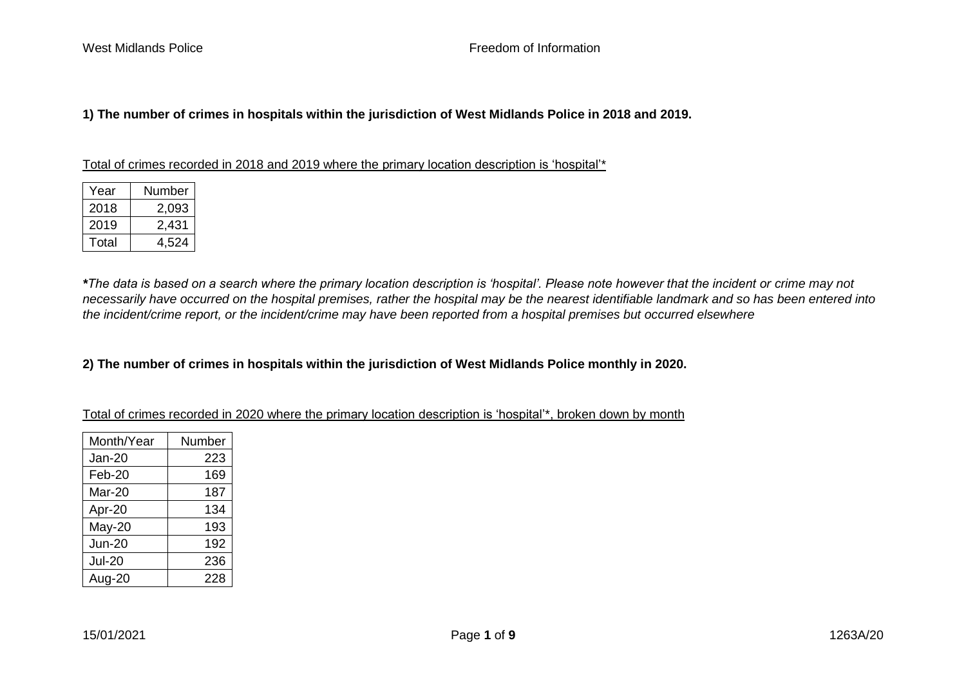# **1) The number of crimes in hospitals within the jurisdiction of West Midlands Police in 2018 and 2019.**

| Year  | Number |
|-------|--------|
| 2018  | 2.093  |
| 2019  | 2,431  |
| Total | 4.524  |

Total of crimes recorded in 2018 and 2019 where the primary location description is 'hospital'\*

*\*The data is based on a search where the primary location description is 'hospital'. Please note however that the incident or crime may not necessarily have occurred on the hospital premises, rather the hospital may be the nearest identifiable landmark and so has been entered into the incident/crime report, or the incident/crime may have been reported from a hospital premises but occurred elsewhere*

### **2) The number of crimes in hospitals within the jurisdiction of West Midlands Police monthly in 2020.**

Total of crimes recorded in 2020 where the primary location description is 'hospital'\*, broken down by month

| Month/Year    | Number |
|---------------|--------|
| <b>Jan-20</b> | 223    |
| Feb-20        | 169    |
| Mar-20        | 187    |
| Apr-20        | 134    |
| May-20        | 193    |
| <b>Jun-20</b> | 192    |
| <b>Jul-20</b> | 236    |
| Aug-20        | 228    |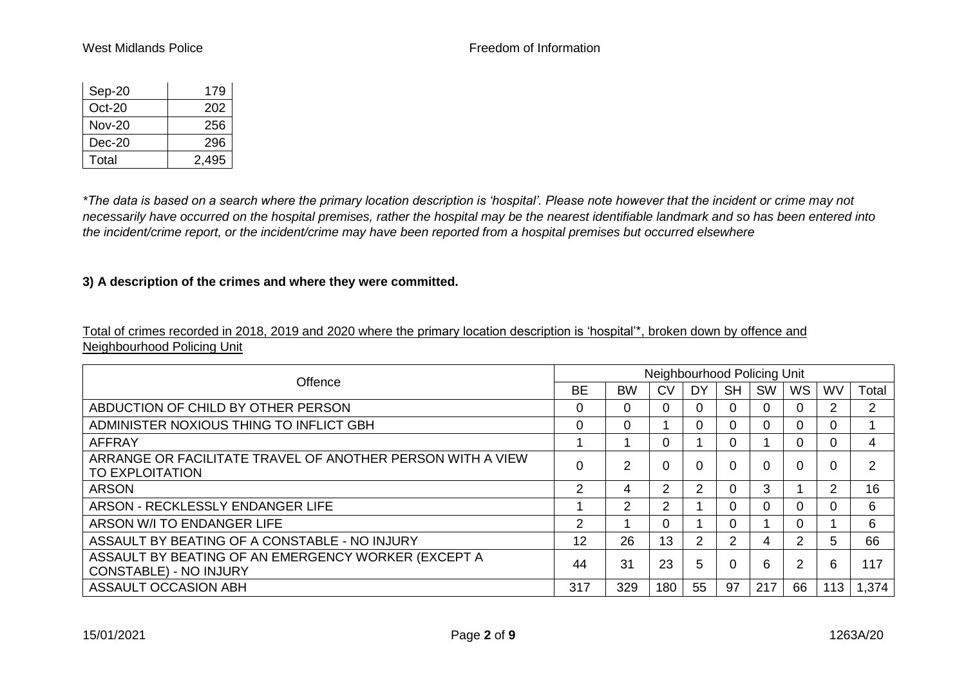| Sep-20        | 179   |
|---------------|-------|
| $Oct-20$      | 202   |
| <b>Nov-20</b> | 256   |
| $Dec-20$      | 296   |
| Total         | 2.495 |

*\*The data is based on a search where the primary location description is 'hospital'. Please note however that the incident or crime may not necessarily have occurred on the hospital premises, rather the hospital may be the nearest identifiable landmark and so has been entered into the incident/crime report, or the incident/crime may have been reported from a hospital premises but occurred elsewhere*

## **3) A description of the crimes and where they were committed.**

Total of crimes recorded in 2018, 2019 and 2020 where the primary location description is 'hospital'\*, broken down by offence and Neighbourhood Policing Unit

| Offence                                                                              | Neighbourhood Policing Unit |               |               |               |           |           |                |                |               |  |  |  |
|--------------------------------------------------------------------------------------|-----------------------------|---------------|---------------|---------------|-----------|-----------|----------------|----------------|---------------|--|--|--|
|                                                                                      | <b>BE</b>                   | <b>BW</b>     | <b>CV</b>     | DY            | <b>SH</b> | <b>SW</b> | <b>WS</b>      | <b>WV</b>      | Total         |  |  |  |
| ABDUCTION OF CHILD BY OTHER PERSON                                                   | $\Omega$                    | 0             | 0             |               |           |           | 0              | $\overline{2}$ | 2             |  |  |  |
| ADMINISTER NOXIOUS THING TO INFLICT GBH                                              | $\Omega$                    | 0             |               |               |           |           | 0              | 0              |               |  |  |  |
| <b>AFFRAY</b>                                                                        |                             |               | 0             |               |           |           | 0              | 0              | 4             |  |  |  |
| ARRANGE OR FACILITATE TRAVEL OF ANOTHER PERSON WITH A VIEW<br><b>TO EXPLOITATION</b> |                             | $\mathcal{P}$ | 0             |               |           |           | $\Omega$       |                | $\mathcal{P}$ |  |  |  |
| <b>ARSON</b>                                                                         | 2                           | 4             | $\mathcal{P}$ |               |           | 3         |                | $\overline{2}$ | 16            |  |  |  |
| ARSON - RECKLESSLY ENDANGER LIFE                                                     |                             | $\mathcal{P}$ | $\mathcal{P}$ |               |           |           | $\Omega$       | 0              | 6             |  |  |  |
| ARSON W/I TO ENDANGER LIFE                                                           | 2                           |               | $\Omega$      |               |           |           | 0              |                | 6             |  |  |  |
| ASSAULT BY BEATING OF A CONSTABLE - NO INJURY                                        | 12                          | 26            | 13            | $\mathcal{P}$ | 2         | 4         | $\overline{2}$ | 5.             | 66            |  |  |  |
| ASSAULT BY BEATING OF AN EMERGENCY WORKER (EXCEPT A<br><b>CONSTABLE) - NO INJURY</b> | 44                          | 31            | 23            | 5             |           | 6         | 2              | 6              | 117           |  |  |  |
| ASSAULT OCCASION ABH                                                                 | 317                         | 329           | 180           | 55            | 97        | 217       | 66             | 113            | 1,374         |  |  |  |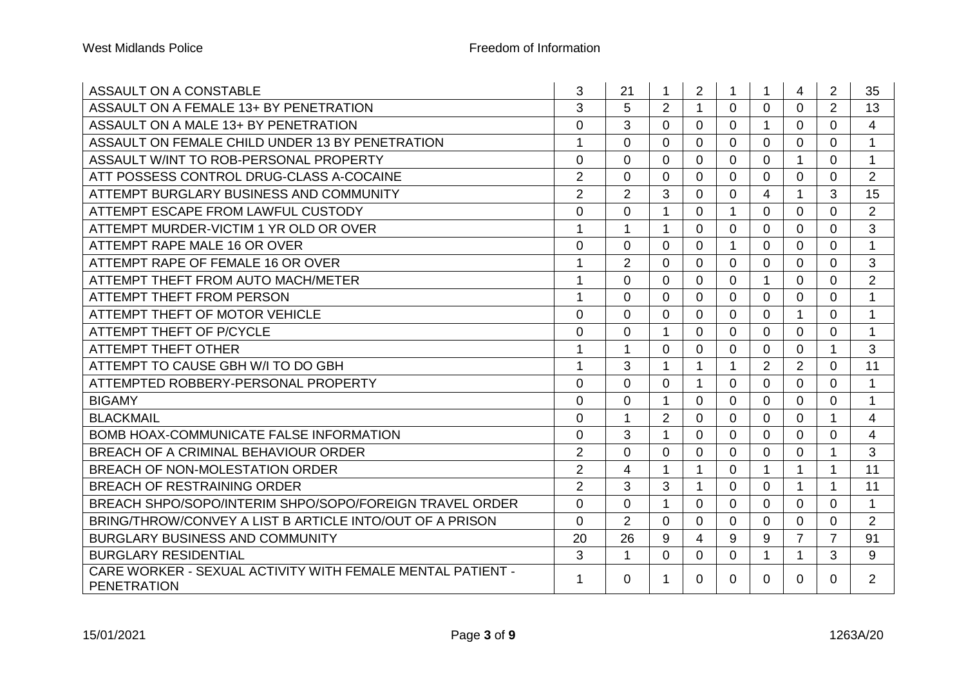| ASSAULT ON A CONSTABLE                                                           | 3              | 21             | 1              | $\overline{2}$       | $\mathbf 1$    | $\mathbf 1$    | 4              | $\overline{2}$ | 35             |
|----------------------------------------------------------------------------------|----------------|----------------|----------------|----------------------|----------------|----------------|----------------|----------------|----------------|
| ASSAULT ON A FEMALE 13+ BY PENETRATION                                           | 3              | 5              | $\overline{2}$ | $\blacktriangleleft$ | $\Omega$       | $\Omega$       | $\Omega$       | $\overline{2}$ | 13             |
| ASSAULT ON A MALE 13+ BY PENETRATION                                             | $\overline{0}$ | 3              | $\Omega$       | $\Omega$             | $\Omega$       | 1              | $\Omega$       | $\Omega$       | 4              |
| ASSAULT ON FEMALE CHILD UNDER 13 BY PENETRATION                                  | $\mathbf{1}$   | $\Omega$       | $\Omega$       | $\Omega$             | $\Omega$       | $\mathbf{0}$   | $\Omega$       | $\Omega$       | $\mathbf{1}$   |
| ASSAULT W/INT TO ROB-PERSONAL PROPERTY                                           | $\mathbf 0$    | $\Omega$       | $\Omega$       | $\Omega$             | $\Omega$       | $\Omega$       | 1              | $\Omega$       | $\mathbf{1}$   |
| ATT POSSESS CONTROL DRUG-CLASS A-COCAINE                                         | $\overline{2}$ | $\Omega$       | $\Omega$       | $\Omega$             | $\Omega$       | $\Omega$       | $\Omega$       | $\overline{0}$ | $\overline{2}$ |
| ATTEMPT BURGLARY BUSINESS AND COMMUNITY                                          | $\overline{2}$ | $\overline{2}$ | 3              | $\Omega$             | $\mathbf 0$    | 4              | $\mathbf{1}$   | 3              | 15             |
| ATTEMPT ESCAPE FROM LAWFUL CUSTODY                                               | $\overline{0}$ | $\Omega$       | $\mathbf{1}$   | $\Omega$             | $\mathbf{1}$   | $\Omega$       | $\Omega$       | $\Omega$       | 2              |
| ATTEMPT MURDER-VICTIM 1 YR OLD OR OVER                                           | 1              | $\mathbf 1$    | 1              | $\Omega$             | $\overline{0}$ | $\Omega$       | $\Omega$       | $\Omega$       | 3              |
| ATTEMPT RAPE MALE 16 OR OVER                                                     | $\overline{0}$ | $\Omega$       | $\overline{0}$ | $\Omega$             | $\mathbf 1$    | $\Omega$       | $\Omega$       | $\overline{0}$ | $\mathbf{1}$   |
| ATTEMPT RAPE OF FEMALE 16 OR OVER                                                | 1              | $\overline{2}$ | $\Omega$       | 0                    | $\Omega$       | $\Omega$       | 0              | $\Omega$       | 3              |
| ATTEMPT THEFT FROM AUTO MACH/METER                                               | 1              | $\Omega$       | $\Omega$       | $\Omega$             | $\mathbf{0}$   | 1              | $\overline{0}$ | $\Omega$       | $\overline{2}$ |
| <b>ATTEMPT THEFT FROM PERSON</b>                                                 | 1              | $\mathbf 0$    | $\Omega$       | 0                    | $\overline{0}$ | $\overline{0}$ | 0              | 0              | $\mathbf{1}$   |
| ATTEMPT THEFT OF MOTOR VEHICLE                                                   | $\overline{0}$ | $\Omega$       | $\overline{0}$ | $\Omega$             | $\mathbf 0$    | $\mathbf 0$    | $\mathbf{1}$   | 0              | $\mathbf{1}$   |
| <b>ATTEMPT THEFT OF P/CYCLE</b>                                                  | 0              | $\mathbf 0$    | 1              | 0                    | $\overline{0}$ | $\overline{0}$ | 0              | 0              | $\mathbf{1}$   |
| <b>ATTEMPT THEFT OTHER</b>                                                       | 1              | $\mathbf{1}$   | $\overline{0}$ | $\Omega$             | $\mathbf 0$    | $\mathbf 0$    | 0              |                | 3              |
| ATTEMPT TO CAUSE GBH W/I TO DO GBH                                               | 1              | 3              | 1              | 1                    | $\mathbf 1$    | 2              | $\overline{2}$ | 0              | 11             |
| ATTEMPTED ROBBERY-PERSONAL PROPERTY                                              | $\mathbf 0$    | $\Omega$       | $\overline{0}$ | $\mathbf 1$          | $\mathbf 0$    | $\overline{0}$ | $\overline{0}$ | $\overline{0}$ | $\mathbf{1}$   |
| <b>BIGAMY</b>                                                                    | $\mathbf 0$    | $\mathbf 0$    | 1              | 0                    | $\overline{0}$ | $\overline{0}$ | 0              | 0              | $\mathbf 1$    |
| <b>BLACKMAIL</b>                                                                 | $\mathbf 0$    | $\mathbf{1}$   | $\overline{2}$ | $\Omega$             | $\mathbf 0$    | $\mathbf 0$    | 0              |                | $\overline{4}$ |
| <b>BOMB HOAX-COMMUNICATE FALSE INFORMATION</b>                                   | $\mathbf 0$    | 3              | 1              | 0                    | $\overline{0}$ | $\overline{0}$ | 0              | 0              | 4              |
| BREACH OF A CRIMINAL BEHAVIOUR ORDER                                             | $\overline{2}$ | $\mathbf 0$    | $\overline{0}$ | $\mathbf 0$          | $\mathbf 0$    | $\overline{0}$ | 0              | $\mathbf 1$    | 3              |
| BREACH OF NON-MOLESTATION ORDER                                                  | $\overline{2}$ | 4              | 1              | 1                    | $\overline{0}$ | 1              | 1              | 1              | 11             |
| <b>BREACH OF RESTRAINING ORDER</b>                                               | $\overline{2}$ | 3              | 3              | $\mathbf 1$          | $\overline{0}$ | $\overline{0}$ | 1              | 1              | 11             |
| BREACH SHPO/SOPO/INTERIM SHPO/SOPO/FOREIGN TRAVEL ORDER                          | $\mathbf 0$    | $\mathbf 0$    | 1              | 0                    | $\mathbf 0$    | $\overline{0}$ | 0              | 0              | $\mathbf{1}$   |
| BRING/THROW/CONVEY A LIST B ARTICLE INTO/OUT OF A PRISON                         | $\overline{0}$ | $\overline{2}$ | $\overline{0}$ | 0                    | $\mathbf 0$    | $\overline{0}$ | 0              | 0              | $\overline{2}$ |
| <b>BURGLARY BUSINESS AND COMMUNITY</b>                                           | 20             | 26             | 9              | $\overline{4}$       | 9              | 9              | $\overline{7}$ | $\overline{7}$ | 91             |
| <b>BURGLARY RESIDENTIAL</b>                                                      | 3              | $\mathbf 1$    | 0              | 0                    | $\mathbf 0$    | $\mathbf 1$    | 1              | 3              | 9              |
| CARE WORKER - SEXUAL ACTIVITY WITH FEMALE MENTAL PATIENT -<br><b>PENETRATION</b> | 1              | 0              | 1              | $\Omega$             | 0              | $\Omega$       | 0              | 0              | $\overline{2}$ |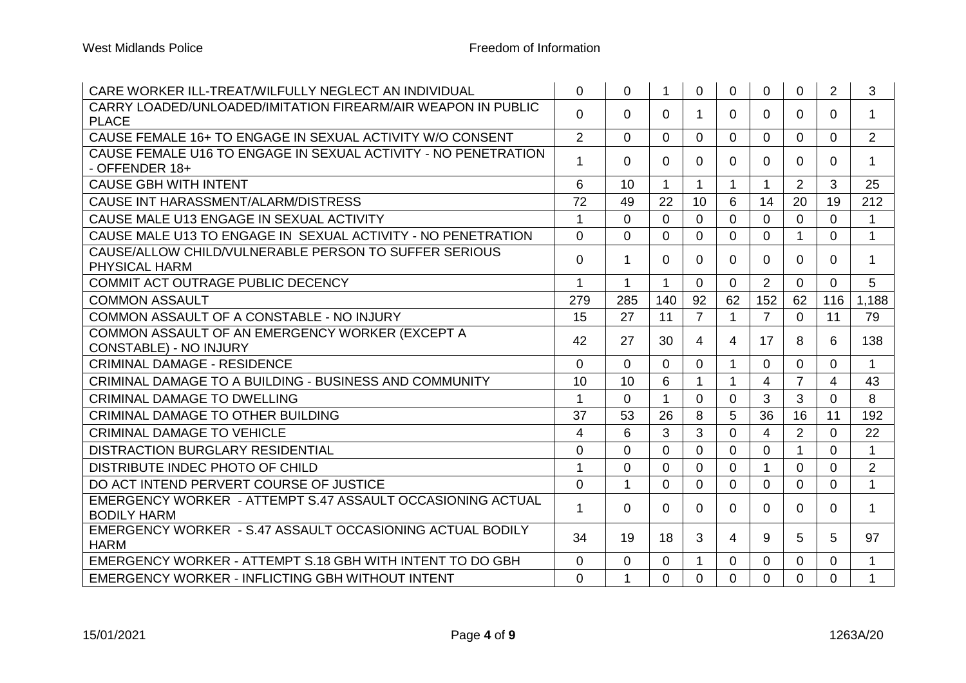| CARE WORKER ILL-TREAT/WILFULLY NEGLECT AN INDIVIDUAL                             | $\mathbf 0$    | 0              | 1                    | $\overline{0}$ | $\Omega$       | 0              | 0              | $\overline{2}$ | 3              |
|----------------------------------------------------------------------------------|----------------|----------------|----------------------|----------------|----------------|----------------|----------------|----------------|----------------|
| CARRY LOADED/UNLOADED/IMITATION FIREARM/AIR WEAPON IN PUBLIC<br><b>PLACE</b>     | $\mathbf 0$    | $\Omega$       | $\Omega$             | $\mathbf 1$    | 0              | 0              | $\Omega$       | 0              | $\mathbf{1}$   |
| CAUSE FEMALE 16+ TO ENGAGE IN SEXUAL ACTIVITY W/O CONSENT                        | $\overline{2}$ | $\Omega$       | $\Omega$             | $\Omega$       | $\Omega$       | 0              | 0              | $\Omega$       | 2              |
| CAUSE FEMALE U16 TO ENGAGE IN SEXUAL ACTIVITY - NO PENETRATION<br>- OFFENDER 18+ | 1              | $\Omega$       | $\Omega$             | $\Omega$       | $\Omega$       | 0              | $\mathbf{0}$   | 0              | $\mathbf{1}$   |
| <b>CAUSE GBH WITH INTENT</b>                                                     | 6              | 10             | $\blacktriangleleft$ | $\mathbf 1$    | 1              |                | $\overline{2}$ | 3              | 25             |
| CAUSE INT HARASSMENT/ALARM/DISTRESS                                              | 72             | 49             | 22                   | 10             | 6              | 14             | 20             | 19             | 212            |
| CAUSE MALE U13 ENGAGE IN SEXUAL ACTIVITY                                         | 1              | $\Omega$       | $\mathbf 0$          | $\overline{0}$ | $\Omega$       | $\Omega$       | $\overline{0}$ | $\Omega$       | $\mathbf{1}$   |
| CAUSE MALE U13 TO ENGAGE IN SEXUAL ACTIVITY - NO PENETRATION                     | $\Omega$       | $\overline{0}$ | $\Omega$             | $\mathbf{0}$   | $\Omega$       | $\Omega$       | $\mathbf{1}$   | $\Omega$       | $\mathbf{1}$   |
| CAUSE/ALLOW CHILD/VULNERABLE PERSON TO SUFFER SERIOUS<br><b>PHYSICAL HARM</b>    | $\overline{0}$ | $\mathbf 1$    | $\Omega$             | $\Omega$       | $\Omega$       | $\Omega$       | $\Omega$       | $\Omega$       | $\mathbf 1$    |
| COMMIT ACT OUTRAGE PUBLIC DECENCY                                                | $\mathbf 1$    | $\mathbf 1$    | $\mathbf 1$          | $\mathbf{0}$   | $\Omega$       | $\overline{2}$ | $\overline{0}$ | $\overline{0}$ | 5              |
| <b>COMMON ASSAULT</b>                                                            | 279            | 285            | 140                  | 92             | 62             | 152            | 62             | 116            | 1,188          |
| COMMON ASSAULT OF A CONSTABLE - NO INJURY                                        | 15             | 27             | 11                   | $\overline{7}$ | $\mathbf 1$    | $\overline{7}$ | $\overline{0}$ | 11             | 79             |
| COMMON ASSAULT OF AN EMERGENCY WORKER (EXCEPT A<br><b>CONSTABLE) - NO INJURY</b> | 42             | 27             | 30                   | 4              | 4              | 17             | 8              | 6              | 138            |
| <b>CRIMINAL DAMAGE - RESIDENCE</b>                                               | $\Omega$       | $\Omega$       | $\mathbf{0}$         | $\mathbf{0}$   | 1              | $\Omega$       | $\Omega$       | $\Omega$       | $\mathbf{1}$   |
| CRIMINAL DAMAGE TO A BUILDING - BUSINESS AND COMMUNITY                           | 10             | 10             | 6                    | $\mathbf 1$    | 1              | 4              | $\overline{7}$ | 4              | 43             |
| <b>CRIMINAL DAMAGE TO DWELLING</b>                                               | 1              | $\Omega$       | $\blacktriangleleft$ | $\Omega$       | $\Omega$       | 3              | 3              | $\Omega$       | 8              |
| <b>CRIMINAL DAMAGE TO OTHER BUILDING</b>                                         | 37             | 53             | 26                   | 8              | 5              | 36             | 16             | 11             | 192            |
| <b>CRIMINAL DAMAGE TO VEHICLE</b>                                                | 4              | 6              | 3                    | 3              | $\Omega$       | 4              | $\overline{2}$ | $\Omega$       | 22             |
| DISTRACTION BURGLARY RESIDENTIAL                                                 | $\overline{0}$ | 0              | $\Omega$             | $\mathbf{0}$   | $\Omega$       | $\Omega$       | $\mathbf 1$    | $\Omega$       | $\mathbf{1}$   |
| DISTRIBUTE INDEC PHOTO OF CHILD                                                  | 1              | $\overline{0}$ | $\Omega$             | $\Omega$       | $\Omega$       |                | $\Omega$       | $\Omega$       | $\overline{2}$ |
| DO ACT INTEND PERVERT COURSE OF JUSTICE                                          | $\overline{0}$ | $\mathbf{1}$   | $\Omega$             | $\Omega$       | $\Omega$       | $\Omega$       | $\Omega$       | $\Omega$       | $\mathbf{1}$   |
| EMERGENCY WORKER - ATTEMPT S.47 ASSAULT OCCASIONING ACTUAL<br><b>BODILY HARM</b> | 1              | $\Omega$       | $\Omega$             | $\Omega$       | $\Omega$       | 0              | $\Omega$       | $\Omega$       | $\mathbf{1}$   |
| EMERGENCY WORKER - S.47 ASSAULT OCCASIONING ACTUAL BODILY<br><b>HARM</b>         | 34             | 19             | 18                   | 3              | $\overline{4}$ | 9              | 5              | 5              | 97             |
| EMERGENCY WORKER - ATTEMPT S.18 GBH WITH INTENT TO DO GBH                        | $\mathbf 0$    | 0              | $\Omega$             | $\mathbf 1$    | $\Omega$       | $\Omega$       | 0              | $\Omega$       | $\mathbf{1}$   |
| EMERGENCY WORKER - INFLICTING GBH WITHOUT INTENT                                 | $\Omega$       | $\mathbf 1$    | $\Omega$             | $\mathbf{0}$   | $\Omega$       | $\Omega$       | $\Omega$       | $\Omega$       | $\mathbf{1}$   |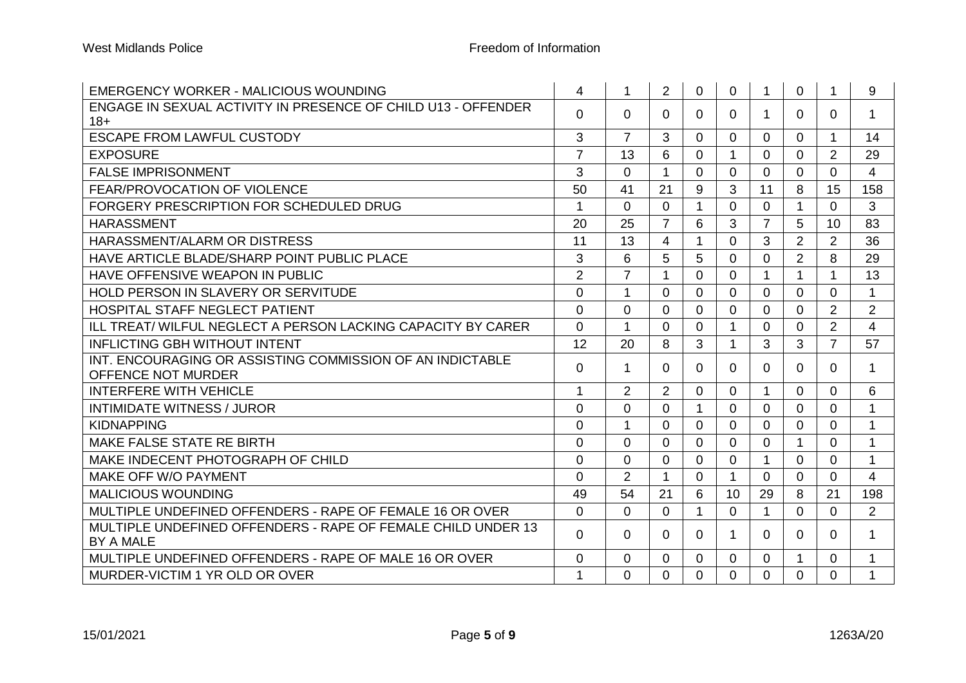| <b>EMERGENCY WORKER - MALICIOUS WOUNDING</b>                           | 4              | 1              | $\overline{2}$ | $\overline{0}$ | $\overline{0}$ | $\mathbf{1}$   | 0              |                | 9              |
|------------------------------------------------------------------------|----------------|----------------|----------------|----------------|----------------|----------------|----------------|----------------|----------------|
| ENGAGE IN SEXUAL ACTIVITY IN PRESENCE OF CHILD U13 - OFFENDER<br>$18+$ | 0              | 0              | 0              | $\mathbf{0}$   | $\Omega$       | 1.             | 0              | $\Omega$       | 1              |
| <b>ESCAPE FROM LAWFUL CUSTODY</b>                                      | 3              | $\overline{7}$ | 3              | $\mathbf{0}$   | $\Omega$       | $\Omega$       | 0              |                | 14             |
| <b>EXPOSURE</b>                                                        | $\overline{7}$ | 13             | 6              | $\Omega$       | $\overline{1}$ | $\Omega$       | 0              | $\overline{2}$ | 29             |
| <b>FALSE IMPRISONMENT</b>                                              | 3              | $\Omega$       | 1              | $\Omega$       | $\Omega$       | $\Omega$       | $\Omega$       | $\Omega$       | 4              |
| <b>FEAR/PROVOCATION OF VIOLENCE</b>                                    | 50             | 41             | 21             | 9              | 3              | 11             | 8              | 15             | 158            |
| FORGERY PRESCRIPTION FOR SCHEDULED DRUG                                | 1              | $\overline{0}$ | $\mathbf 0$    | 1              | $\overline{0}$ | $\mathbf 0$    | 1              | $\overline{0}$ | 3              |
| <b>HARASSMENT</b>                                                      | 20             | 25             | $\overline{7}$ | 6              | 3              | $\overline{7}$ | 5              | 10             | 83             |
| HARASSMENT/ALARM OR DISTRESS                                           | 11             | 13             | $\overline{4}$ | 1              | $\mathbf{0}$   | 3              | $\overline{2}$ | $\overline{2}$ | 36             |
| HAVE ARTICLE BLADE/SHARP POINT PUBLIC PLACE                            | 3              | 6              | 5              | 5              | $\Omega$       | $\Omega$       | $\overline{2}$ | 8              | 29             |
| HAVE OFFENSIVE WEAPON IN PUBLIC                                        | $\overline{2}$ | $\overline{7}$ | $\mathbf{1}$   | $\Omega$       | $\mathbf{0}$   | $\mathbf{1}$   | $\mathbf{1}$   | 1              | 13             |
| HOLD PERSON IN SLAVERY OR SERVITUDE                                    | $\overline{0}$ | $\mathbf 1$    | $\Omega$       | $\Omega$       | $\Omega$       | $\Omega$       | 0              | $\Omega$       | 1              |
| <b>HOSPITAL STAFF NEGLECT PATIENT</b>                                  | $\overline{0}$ | $\Omega$       | $\Omega$       | $\Omega$       | $\Omega$       | $\Omega$       | $\Omega$       | $\overline{2}$ | $\overline{2}$ |
| <b>ILL TREAT/WILFUL NEGLECT A PERSON LACKING CAPACITY BY CARER</b>     | $\overline{0}$ | $\mathbf 1$    | $\Omega$       | $\Omega$       | 1              | $\Omega$       | 0              | $\overline{2}$ | $\overline{4}$ |
| <b>INFLICTING GBH WITHOUT INTENT</b>                                   | 12             | 20             | 8              | 3              | 1              | 3              | 3              | $\overline{7}$ | 57             |
| INT. ENCOURAGING OR ASSISTING COMMISSION OF AN INDICTABLE              | $\Omega$       | 1              | $\Omega$       | $\Omega$       | $\Omega$       | 0              | 0              | 0              | $\mathbf 1$    |
| OFFENCE NOT MURDER                                                     |                |                |                |                |                |                |                |                |                |
| <b>INTERFERE WITH VEHICLE</b>                                          | $\mathbf{1}$   | 2              | $\overline{2}$ | $\mathbf{0}$   | $\overline{0}$ | $\mathbf 1$    | 0              | $\overline{0}$ | 6              |
| <b>INTIMIDATE WITNESS / JUROR</b>                                      | $\mathbf 0$    | $\overline{0}$ | 0              | $\mathbf 1$    | $\overline{0}$ | $\mathbf 0$    | $\Omega$       | $\overline{0}$ | $\mathbf{1}$   |
| <b>KIDNAPPING</b>                                                      | $\overline{0}$ | 1              | $\overline{0}$ | $\mathbf{0}$   | $\overline{0}$ | $\Omega$       | $\Omega$       | $\overline{0}$ | $\mathbf{1}$   |
| MAKE FALSE STATE RE BIRTH                                              | $\overline{0}$ | $\Omega$       | $\Omega$       | $\overline{0}$ | $\mathbf{0}$   | $\mathbf 0$    | 1              | $\Omega$       | $\mathbf{1}$   |
| MAKE INDECENT PHOTOGRAPH OF CHILD                                      | $\overline{0}$ | $\Omega$       | $\Omega$       | $\mathbf{0}$   | $\Omega$       | 1              | $\Omega$       | 0              | 1              |
| MAKE OFF W/O PAYMENT                                                   | $\Omega$       | 2              | 1              | $\Omega$       | -1             | $\Omega$       | $\Omega$       | $\Omega$       | 4              |
| <b>MALICIOUS WOUNDING</b>                                              | 49             | 54             | 21             | 6              | 10             | 29             | 8              | 21             | 198            |
| MULTIPLE UNDEFINED OFFENDERS - RAPE OF FEMALE 16 OR OVER               | $\Omega$       | $\Omega$       | $\Omega$       | $\mathbf 1$    | $\overline{0}$ | $\mathbf{1}$   | 0              | $\Omega$       | $\overline{2}$ |
| MULTIPLE UNDEFINED OFFENDERS - RAPE OF FEMALE CHILD UNDER 13           | $\Omega$       | $\Omega$       | $\Omega$       | $\Omega$       |                | 0              | $\Omega$       | $\Omega$       | $\mathbf{1}$   |
| BY A MALE                                                              |                |                |                |                |                |                |                |                |                |
| MULTIPLE UNDEFINED OFFENDERS - RAPE OF MALE 16 OR OVER                 | $\overline{0}$ | $\mathbf 0$    | $\Omega$       | $\mathbf 0$    | $\Omega$       | 0              | 1              | $\Omega$       | $\mathbf{1}$   |
| MURDER-VICTIM 1 YR OLD OR OVER                                         | 1              | $\Omega$       | 0              | $\Omega$       | $\Omega$       | $\Omega$       | 0              | 0              | $\mathbf{1}$   |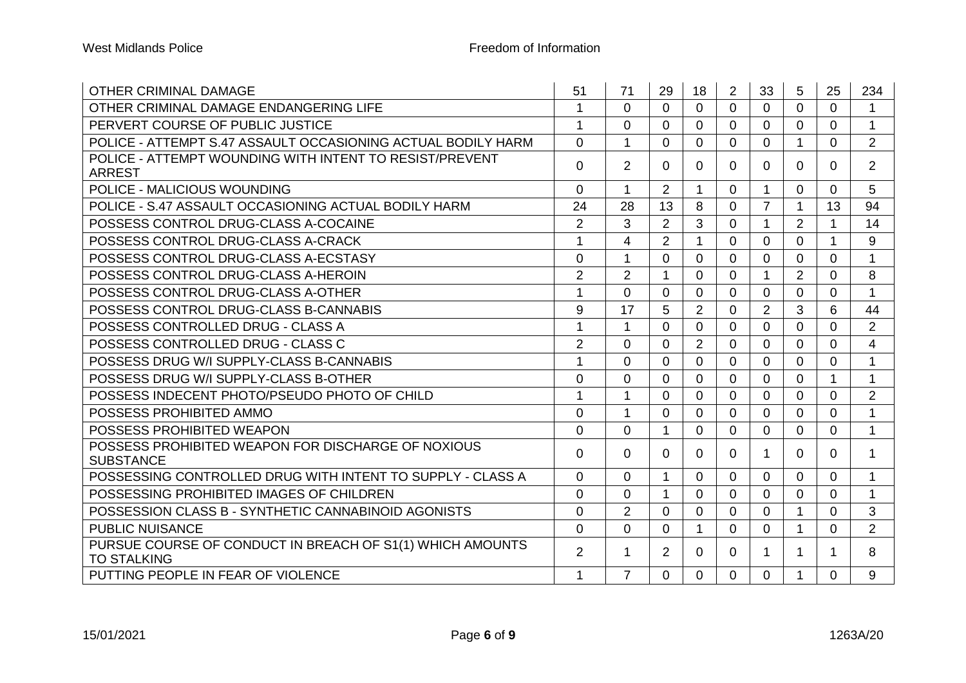| <b>OTHER CRIMINAL DAMAGE</b>                                                    | 51             | 71             | 29             | 18             | $\overline{2}$ | 33             | 5              | 25       | 234                      |
|---------------------------------------------------------------------------------|----------------|----------------|----------------|----------------|----------------|----------------|----------------|----------|--------------------------|
| OTHER CRIMINAL DAMAGE ENDANGERING LIFE                                          | $\mathbf 1$    | $\Omega$       | $\Omega$       | $\Omega$       | $\Omega$       | $\Omega$       | 0              | $\Omega$ | $\mathbf{1}$             |
| PERVERT COURSE OF PUBLIC JUSTICE                                                | 1              | $\mathbf 0$    | 0              | $\overline{0}$ | $\mathbf 0$    | $\mathbf 0$    | 0              | 0        | $\mathbf{1}$             |
| POLICE - ATTEMPT S.47 ASSAULT OCCASIONING ACTUAL BODILY HARM                    | $\overline{0}$ | $\mathbf{1}$   | 0              | $\overline{0}$ | $\overline{0}$ | $\mathbf 0$    | 1              | 0        | 2                        |
| POLICE - ATTEMPT WOUNDING WITH INTENT TO RESIST/PREVENT                         | $\Omega$       | $\overline{2}$ | $\Omega$       | $\Omega$       | $\Omega$       | $\Omega$       | 0              | $\Omega$ | 2                        |
| <b>ARREST</b>                                                                   |                |                |                |                |                |                |                |          |                          |
| POLICE - MALICIOUS WOUNDING                                                     | $\overline{0}$ | 1              | $\overline{2}$ | 1              | $\overline{0}$ | $\mathbf{1}$   | 0              | 0        | 5                        |
| POLICE - S.47 ASSAULT OCCASIONING ACTUAL BODILY HARM                            | 24             | 28             | 13             | 8              | $\mathbf 0$    | $\overline{7}$ | 1              | 13       | 94                       |
| POSSESS CONTROL DRUG-CLASS A-COCAINE                                            | $\overline{2}$ | 3              | $\overline{2}$ | 3              | $\Omega$       | 1              | $\overline{2}$ |          | 14                       |
| POSSESS CONTROL DRUG-CLASS A-CRACK                                              | 1              | 4              | $\overline{2}$ | 1              | $\Omega$       | $\Omega$       | $\Omega$       | 1        | 9                        |
| POSSESS CONTROL DRUG-CLASS A-ECSTASY                                            | $\overline{0}$ | 1              | 0              | 0              | 0              | 0              | 0              | $\Omega$ | $\mathbf{1}$             |
| POSSESS CONTROL DRUG-CLASS A-HEROIN                                             | $\overline{2}$ | 2              | 1              | $\Omega$       | $\mathbf{0}$   | 1              | $\overline{2}$ | 0        | 8                        |
| POSSESS CONTROL DRUG-CLASS A-OTHER                                              | 1              | $\Omega$       | $\Omega$       | 0              | $\Omega$       | $\Omega$       | 0              | $\Omega$ | 1                        |
| POSSESS CONTROL DRUG-CLASS B-CANNABIS                                           | 9              | 17             | 5              | $\overline{2}$ | $\mathbf 0$    | $\overline{2}$ | 3              | 6        | 44                       |
| POSSESS CONTROLLED DRUG - CLASS A                                               | 1              | $\mathbf 1$    | 0              | $\overline{0}$ | $\mathbf 0$    | $\mathbf 0$    | 0              | 0        | 2                        |
| POSSESS CONTROLLED DRUG - CLASS C                                               | $\overline{2}$ | 0              | 0              | $\overline{2}$ | $\mathbf 0$    | 0              | 0              | 0        | $\overline{\mathcal{A}}$ |
| POSSESS DRUG W/I SUPPLY-CLASS B-CANNABIS                                        | 1              | $\Omega$       | 0              | $\Omega$       | $\Omega$       | $\Omega$       | 0              | 0        | $\mathbf 1$              |
| POSSESS DRUG W/I SUPPLY-CLASS B-OTHER                                           | $\Omega$       | $\Omega$       | $\Omega$       | $\Omega$       | $\Omega$       | $\Omega$       | 0              | 1        | 1                        |
| POSSESS INDECENT PHOTO/PSEUDO PHOTO OF CHILD                                    | 1              | $\mathbf{1}$   | $\Omega$       | $\Omega$       | $\Omega$       | $\Omega$       | $\Omega$       | $\Omega$ | $\overline{2}$           |
| POSSESS PROHIBITED AMMO                                                         | $\overline{0}$ | $\mathbf 1$    | 0              | $\Omega$       | $\Omega$       | 0              | 0              | $\Omega$ | 1                        |
| POSSESS PROHIBITED WEAPON                                                       | $\Omega$       | $\Omega$       | 1              | $\Omega$       | $\Omega$       | $\Omega$       | 0              | $\Omega$ | $\mathbf{1}$             |
| POSSESS PROHIBITED WEAPON FOR DISCHARGE OF NOXIOUS                              | $\overline{0}$ | $\mathbf 0$    | $\Omega$       | $\Omega$       | $\Omega$       | 1              | 0              | $\Omega$ | 1                        |
| <b>SUBSTANCE</b>                                                                |                |                |                |                |                |                |                |          |                          |
| POSSESSING CONTROLLED DRUG WITH INTENT TO SUPPLY - CLASS A                      | $\Omega$       | $\Omega$       | $\mathbf 1$    | $\Omega$       | $\Omega$       | $\Omega$       | 0              | $\Omega$ | $\mathbf 1$              |
| POSSESSING PROHIBITED IMAGES OF CHILDREN                                        | $\Omega$       | $\Omega$       | $\mathbf 1$    | $\Omega$       | $\Omega$       | $\Omega$       | 0              | $\Omega$ | 1                        |
| POSSESSION CLASS B - SYNTHETIC CANNABINOID AGONISTS                             | $\overline{0}$ | $\overline{2}$ | $\Omega$       | $\overline{0}$ | $\Omega$       | $\Omega$       | $\mathbf{1}$   | $\Omega$ | 3                        |
| <b>PUBLIC NUISANCE</b>                                                          | $\Omega$       | $\Omega$       | $\Omega$       | $\mathbf 1$    | $\Omega$       | $\Omega$       | 1              | 0        | $\overline{2}$           |
| PURSUE COURSE OF CONDUCT IN BREACH OF S1(1) WHICH AMOUNTS<br><b>TO STALKING</b> | $\overline{2}$ | 1              | 2              | $\Omega$       | $\Omega$       | 1              | 1              | 1        | 8                        |
| PUTTING PEOPLE IN FEAR OF VIOLENCE                                              | $\mathbf 1$    | $\overline{7}$ | $\Omega$       | $\overline{0}$ | $\mathbf{0}$   | $\mathbf{0}$   | 1              | 0        | 9                        |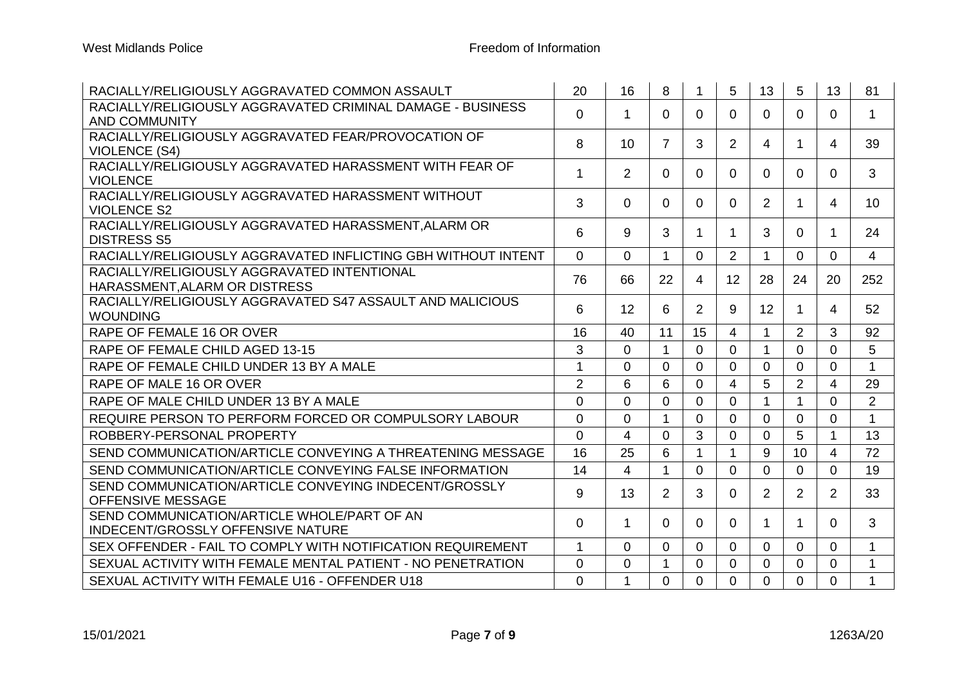| RACIALLY/RELIGIOUSLY AGGRAVATED COMMON ASSAULT                                     | 20                      | 16             | 8                    |                | 5              | 13             | 5              | 13             | 81             |
|------------------------------------------------------------------------------------|-------------------------|----------------|----------------------|----------------|----------------|----------------|----------------|----------------|----------------|
| RACIALLY/RELIGIOUSLY AGGRAVATED CRIMINAL DAMAGE - BUSINESS<br><b>AND COMMUNITY</b> | 0                       | 1              | $\Omega$             | 0              | $\Omega$       | 0              | 0              | 0              | $\mathbf 1$    |
| RACIALLY/RELIGIOUSLY AGGRAVATED FEAR/PROVOCATION OF<br><b>VIOLENCE (S4)</b>        | 8                       | 10             | 7                    | 3              | $\overline{2}$ | 4              | 1              | 4              | 39             |
| RACIALLY/RELIGIOUSLY AGGRAVATED HARASSMENT WITH FEAR OF<br><b>VIOLENCE</b>         | $\mathbf 1$             | $\overline{2}$ | $\Omega$             | $\Omega$       | $\Omega$       | $\Omega$       | $\mathbf{0}$   | $\Omega$       | 3              |
| RACIALLY/RELIGIOUSLY AGGRAVATED HARASSMENT WITHOUT<br><b>VIOLENCE S2</b>           | 3                       | 0              | $\Omega$             | $\Omega$       | $\Omega$       | $\overline{2}$ | 1              | 4              | 10             |
| RACIALLY/RELIGIOUSLY AGGRAVATED HARASSMENT, ALARM OR<br><b>DISTRESS S5</b>         | 6                       | 9              | 3                    | 1              | 1              | 3              | $\mathbf{0}$   | $\mathbf 1$    | 24             |
| RACIALLY/RELIGIOUSLY AGGRAVATED INFLICTING GBH WITHOUT INTENT                      | $\Omega$                | 0              | $\blacktriangleleft$ | $\overline{0}$ | 2              | $\mathbf 1$    | $\Omega$       | $\Omega$       | 4              |
| RACIALLY/RELIGIOUSLY AGGRAVATED INTENTIONAL<br>HARASSMENT, ALARM OR DISTRESS       | 76                      | 66             | 22                   | $\overline{4}$ | 12             | 28             | 24             | 20             | 252            |
| RACIALLY/RELIGIOUSLY AGGRAVATED S47 ASSAULT AND MALICIOUS<br><b>WOUNDING</b>       | 6                       | 12             | 6                    | $\overline{2}$ | 9              | 12             | 1              | 4              | 52             |
| RAPE OF FEMALE 16 OR OVER                                                          | 16                      | 40             | 11                   | 15             | 4              | $\mathbf 1$    | 2              | 3              | 92             |
| RAPE OF FEMALE CHILD AGED 13-15                                                    | 3                       | 0              | $\mathbf 1$          | $\overline{0}$ | $\overline{0}$ | $\mathbf{1}$   | $\overline{0}$ | 0              | 5              |
| RAPE OF FEMALE CHILD UNDER 13 BY A MALE                                            | -1                      | 0              | $\Omega$             | $\overline{0}$ | $\Omega$       | $\Omega$       | $\Omega$       | 0              | $\mathbf 1$    |
| RAPE OF MALE 16 OR OVER                                                            | 2                       | 6              | 6                    | $\Omega$       | 4              | 5              | $\overline{2}$ | 4              | 29             |
| RAPE OF MALE CHILD UNDER 13 BY A MALE                                              | $\overline{0}$          | 0              | 0                    | $\overline{0}$ | $\Omega$       |                | 1              | 0              | $\overline{2}$ |
| REQUIRE PERSON TO PERFORM FORCED OR COMPULSORY LABOUR                              | $\overline{0}$          | 0              | $\mathbf{1}$         | $\mathbf{0}$   | $\overline{0}$ | $\overline{0}$ | $\overline{0}$ | 0              | $\mathbf{1}$   |
| ROBBERY-PERSONAL PROPERTY                                                          | $\Omega$                | 4              | $\Omega$             | 3              | $\Omega$       | 0              | 5              | 1              | 13             |
| SEND COMMUNICATION/ARTICLE CONVEYING A THREATENING MESSAGE                         | 16                      | 25             | 6                    | $\overline{1}$ | $\mathbf{1}$   | 9              | 10             | $\overline{4}$ | 72             |
| SEND COMMUNICATION/ARTICLE CONVEYING FALSE INFORMATION                             | 14                      | 4              | 1                    | $\Omega$       | $\Omega$       | $\Omega$       | $\mathbf{0}$   | $\Omega$       | 19             |
| SEND COMMUNICATION/ARTICLE CONVEYING INDECENT/GROSSLY<br>OFFENSIVE MESSAGE         | 9                       | 13             | $\overline{2}$       | 3              | $\Omega$       | $\overline{2}$ | $\overline{2}$ | $\overline{2}$ | 33             |
| SEND COMMUNICATION/ARTICLE WHOLE/PART OF AN<br>INDECENT/GROSSLY OFFENSIVE NATURE   | $\Omega$                | 1              | $\Omega$             | $\Omega$       | $\Omega$       | 1              |                | $\Omega$       | 3              |
| SEX OFFENDER - FAIL TO COMPLY WITH NOTIFICATION REQUIREMENT                        | $\overline{\mathbf{1}}$ | 0              | $\Omega$             | $\overline{0}$ | $\Omega$       | $\Omega$       | $\Omega$       | $\Omega$       | 1              |
| SEXUAL ACTIVITY WITH FEMALE MENTAL PATIENT - NO PENETRATION                        | $\Omega$                | 0              | 1                    | $\Omega$       | $\Omega$       | $\Omega$       | $\Omega$       | 0              | $\mathbf{1}$   |
| SEXUAL ACTIVITY WITH FEMALE U16 - OFFENDER U18                                     | $\Omega$                | $\mathbf{1}$   | $\Omega$             | $\mathbf{0}$   | $\Omega$       | $\Omega$       | $\Omega$       | $\overline{0}$ | $\mathbf{1}$   |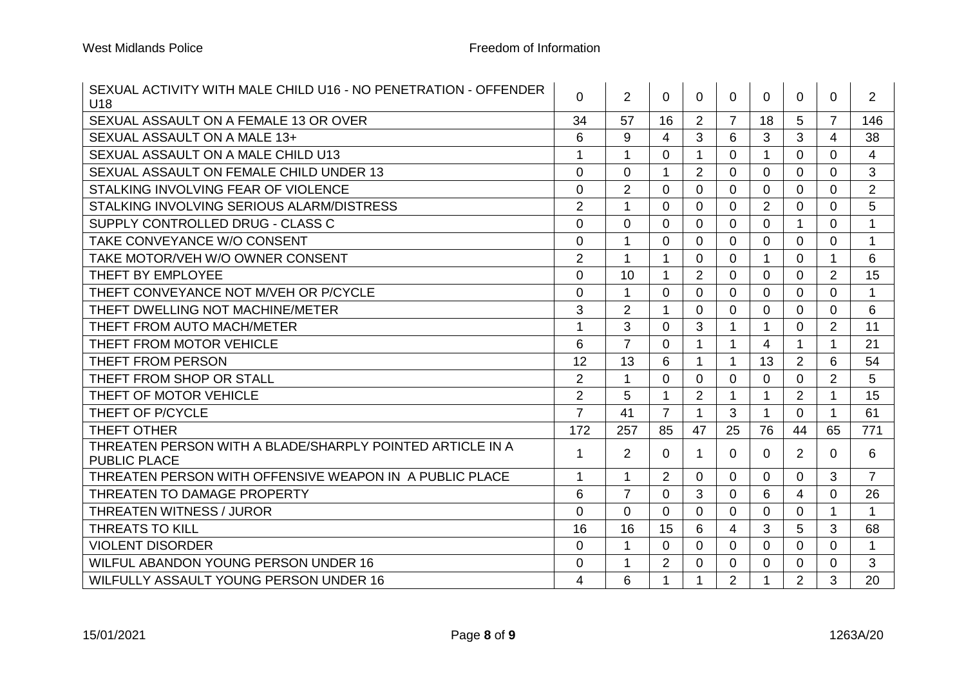| SEXUAL ACTIVITY WITH MALE CHILD U16 - NO PENETRATION - OFFENDER<br>U18           | 0              | $\overline{2}$ | 0              | 0                    | 0              | 0              | 0              | 0              | $\overline{2}$ |
|----------------------------------------------------------------------------------|----------------|----------------|----------------|----------------------|----------------|----------------|----------------|----------------|----------------|
| SEXUAL ASSAULT ON A FEMALE 13 OR OVER                                            | 34             | 57             | 16             | 2                    | $\overline{7}$ | 18             | 5              | $\overline{7}$ | 146            |
| SEXUAL ASSAULT ON A MALE 13+                                                     | 6              | 9              | 4              | 3                    | 6              | 3              | 3              | 4              | 38             |
| SEXUAL ASSAULT ON A MALE CHILD U13                                               | 1              | $\mathbf{1}$   | 0              | $\mathbf{1}$         | $\overline{0}$ | $\mathbf 1$    | $\overline{0}$ | 0              | 4              |
| SEXUAL ASSAULT ON FEMALE CHILD UNDER 13                                          | $\mathbf 0$    | $\overline{0}$ | 1              | $\overline{2}$       | $\overline{0}$ | $\overline{0}$ | $\overline{0}$ | $\overline{0}$ | 3              |
| STALKING INVOLVING FEAR OF VIOLENCE                                              | $\overline{0}$ | $\overline{2}$ | $\Omega$       | $\Omega$             | $\Omega$       | $\Omega$       | $\overline{0}$ | 0              | $\overline{2}$ |
| STALKING INVOLVING SERIOUS ALARM/DISTRESS                                        | $\overline{2}$ | $\mathbf{1}$   | $\Omega$       | $\overline{0}$       | $\overline{0}$ | $\overline{2}$ | $\overline{0}$ | $\Omega$       | 5              |
| SUPPLY CONTROLLED DRUG - CLASS C                                                 | $\overline{0}$ | 0              | $\Omega$       | $\Omega$             | $\Omega$       | $\Omega$       |                | 0              | 1              |
| TAKE CONVEYANCE W/O CONSENT                                                      | $\Omega$       | $\mathbf{1}$   | $\Omega$       | $\Omega$             | $\Omega$       | $\Omega$       | $\Omega$       | $\Omega$       | 1              |
| TAKE MOTOR/VEH W/O OWNER CONSENT                                                 | $\overline{2}$ | 1              | 1              | $\Omega$             | $\Omega$       | 1              | $\overline{0}$ | 1              | 6              |
| THEFT BY EMPLOYEE                                                                | $\overline{0}$ | 10             | $\mathbf{1}$   | $\overline{2}$       | $\Omega$       | $\Omega$       | $\overline{0}$ | $\overline{2}$ | 15             |
| THEFT CONVEYANCE NOT M/VEH OR P/CYCLE                                            | $\Omega$       | 1.             | $\Omega$       | $\Omega$             | $\Omega$       | 0              | $\Omega$       | $\Omega$       | 1              |
| THEFT DWELLING NOT MACHINE/METER                                                 | 3              | $\overline{2}$ | 1              | $\Omega$             | $\Omega$       | $\Omega$       | $\overline{0}$ | $\mathbf 0$    | 6              |
| THEFT FROM AUTO MACH/METER                                                       | 1              | 3              | $\Omega$       | 3                    | 1              | $\mathbf 1$    | $\overline{0}$ | 2              | 11             |
| THEFT FROM MOTOR VEHICLE                                                         | 6              | $\overline{7}$ | $\Omega$       | $\overline{1}$       | 1              | 4              | $\mathbf{1}$   | 1              | 21             |
| THEFT FROM PERSON                                                                | 12             | 13             | 6              | $\mathbf{1}$         | 1              | 13             | 2              | 6              | 54             |
| THEFT FROM SHOP OR STALL                                                         | $\overline{2}$ | $\mathbf{1}$   | $\Omega$       | $\overline{0}$       | $\Omega$       | $\Omega$       | $\overline{0}$ | $\overline{2}$ | 5              |
| THEFT OF MOTOR VEHICLE                                                           | $\overline{2}$ | 5              | $\mathbf 1$    | 2                    | $\mathbf 1$    | $\mathbf 1$    | 2              | $\mathbf 1$    | 15             |
| THEFT OF P/CYCLE                                                                 | $\overline{7}$ | 41             | $\overline{7}$ | $\blacktriangleleft$ | 3              |                | $\Omega$       | 1              | 61             |
| THEFT OTHER                                                                      | 172            | 257            | 85             | 47                   | 25             | 76             | 44             | 65             | 771            |
| THREATEN PERSON WITH A BLADE/SHARPLY POINTED ARTICLE IN A<br><b>PUBLIC PLACE</b> | 1              | $\overline{2}$ | 0              | -1                   | 0              | 0              | $\overline{2}$ | $\Omega$       | 6              |
| THREATEN PERSON WITH OFFENSIVE WEAPON IN A PUBLIC PLACE                          | $\mathbf 1$    | $\mathbf{1}$   | $\overline{2}$ | $\Omega$             | $\Omega$       | $\Omega$       | $\overline{0}$ | 3              | $\overline{7}$ |
| THREATEN TO DAMAGE PROPERTY                                                      | 6              | $\overline{7}$ | $\Omega$       | 3                    | $\Omega$       | 6              | 4              | $\Omega$       | 26             |
| <b>THREATEN WITNESS / JUROR</b>                                                  | $\overline{0}$ | $\Omega$       | $\Omega$       | $\mathbf{0}$         | $\Omega$       | $\Omega$       | $\Omega$       | $\mathbf 1$    | $\mathbf{1}$   |
| <b>THREATS TO KILL</b>                                                           | 16             | 16             | 15             | 6                    | 4              | 3              | 5              | 3              | 68             |
| <b>VIOLENT DISORDER</b>                                                          | $\overline{0}$ | $\mathbf{1}$   | $\Omega$       | $\Omega$             | $\Omega$       | $\Omega$       | $\overline{0}$ | $\Omega$       | $\mathbf{1}$   |
| WILFUL ABANDON YOUNG PERSON UNDER 16                                             | $\Omega$       | $\mathbf 1$    | 2              | $\Omega$             | $\Omega$       | 0              | $\Omega$       | 0              | 3              |
| WILFULLY ASSAULT YOUNG PERSON UNDER 16                                           | 4              | 6              | 1              | $\overline{1}$       | $\overline{2}$ |                | $\overline{2}$ | 3              | 20             |